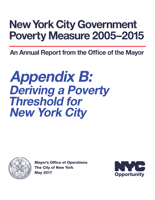# New York City Government Poverty Measure 2005–2015

An Annual Report from the Office of the Mayor

# Appendix B: Deriving a Poverty Threshold for New York City



Mayor's Office of Operations The City of New York May 2017

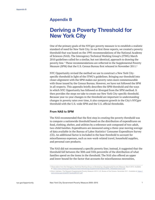# Appendix B

# Deriving a Poverty Threshold for New York City

One of the primary goals of the NYCgov poverty measure is to establish a realistic standard of need for New York City. In our first three reports, we created a poverty threshold that was based on the 1995 recommendations of the National Academy of Sciences (NAS). The Interagency Technical Working Group's (ITWG) March 2010 guidelines called for a similar, but not identical, approach to drawing the poverty line.1 These recommendations are reflected in the Supplemental Poverty Measure (SPM) that the U.S. Census Bureau first released in November 2011.<sup>2</sup>

NYC Opportunity revised the method we use to construct a New York Cityspecific threshold in light of the ITWG's guidelines. Bringing our threshold into closer alignment with the SPM makes our poverty rates more commensurable with those issued by the Census Bureau. However, we have not followed the SPM in all respects. This appendix briefly describes the SPM threshold and the ways in which NYC Opportunity has followed or diverged from the SPM method. It then provides the steps we take to create our New York City-specific threshold. Because year-to-year changes in the threshold are important to understanding changes in poverty rates over time, it also compares growth in the City's NYCgov threshold with the U.S.-wide SPM and the U.S. official thresholds.

#### From NAS to SPM

The NAS recommended that the first step in creating the poverty threshold was to compute a nationwide threshold based on the distribution of expenditures on food, clothing, shelter, and utilities by a reference unit composed of two-adult, two-child families. Expenditures are measured using a three-year moving average of data available in the Bureau of Labor Statistics' Consumer Expenditure Survey (CE). An additional factor is included in the base threshold to account for miscellaneous expenses, such as non-work-related travel, household supplies, and personal care products.

The NAS did not recommend a specific poverty line; instead, it suggested that the threshold fall between the 30th and 35th percentile of the distribution of what families spend on the items in the threshold. The NAS also offered an upper and lower bound for the factor that accounts for miscellaneous necessities,

<sup>1</sup> Observations from the Interagency Technical Working Group on Developing a Supplemental Poverty Measure. March 2010. Available

at: [https://www.census.gov/hhes/povmeas/methodology/supplemental/research/SPM\\_TWGObservations.pdf](https://www.census.gov/hhes/povmeas/methodology/supplemental/research/SPM_TWGObservations.pdf)

<sup>2</sup> Short, Kathleen. The Research Supplemental Poverty Measure: 2010. U.S. Bureau of the Census. November 2011. Available at: [https://](https://www.census.gov/prod/2011pubs/p60-241.pdf) [www.census.gov/prod/2011pubs/p60-241.pdf](https://www.census.gov/prod/2011pubs/p60-241.pdf)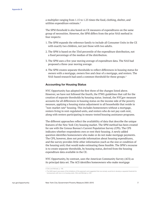a multiplier ranging from 1.15 to 1.25 times the food, clothing, shelter, and utilities expenditure estimate.3

The SPM threshold is also based on CE measures of expenditures on the same group of necessities. However, the SPM differs from the prior NAS method in four respects:

- 1. The SPM expands the reference family to include all Consumer Units in the CE with exactly two children, not just those with two adults.
- 2. The SPM is based on the 33rd percentile of the expenditure distribution, not a fixed percentage of the median of the distribution.
- 3. The SPM uses a five-year moving average of expenditure data. The NAS had proposed a three-year moving average.
- 4. The SPM creates separate thresholds to reflect differences in housing status for owners with a mortgage, owners free and clear of a mortgage, and renters. The NAS-based research had used a common threshold for these groups.<sup>4</sup>

#### Accounting for Housing Status

NYC Opportunity has adopted the first three of the changes listed above. However, we have not followed the fourth, the ITWG guidelines that call for the creation of separate thresholds by housing status. Instead, the NYCgov measure accounts for all differences in housing status on the income side of the poverty measure, applying a housing status adjustment to all households that reside in "non-market rate" housing. This includes homeowners without a mortgage, renters living in rent-regulated units, and renters who do not pay cash rent, along with renters participating in means-tested housing assistance programs.

The different approaches reflect the availability of data that describe the unique features of the New York City housing market. The SPM method has been created for use with the Census Bureau's Current Population Survey (CPS). The CPS indicates whether respondents own or rent their housing. A newly added question identifies homeowners who make or do not make mortgage payments. The CPS, however, does not provide information about housing expenditures, and the survey provides little other information (such as the size or condition of the housing unit) that would make estimating these feasible. The SPM's recourse is to create separate thresholds, by housing status, derived from the housing expenditure data available in the CE.

NYC Opportunity, by contrast, uses the American Community Survey (ACS) as its principal data set. The ACS identifies homeowners who make mortgage

<sup>3</sup> Citro and Michael, p. 106.

<sup>4</sup> The NAS report was aware of the limitations of this approach and suggested that one remedy would be to develop a separate threshold for homeowners with low or no housing costs. Citro and Michael, p. 245.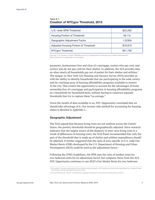#### Table B.1 Creation of NYCgov Threshold, 2015

| U.S.-wide SPM Threshold               | \$25,262 |
|---------------------------------------|----------|
| Housing Portion of Threshold          | 49.1%    |
| Geographic Adjustment Factor          | 1.52304  |
| Adjusted Housing Portion of Threshold | \$18,910 |
| NYCgov Threshold                      | \$31,756 |

Sources: U.S. Bureau of Labor Statistics and U.S. Department of Housing and Urban Development. Note: See text for explanation of concepts.

payments, homeowners free and clear of a mortgage, renters who pay rent, and renters who do not pay cash for their shelter. In addition, the ACS provides data on what nearly all households pay out of pocket for their shelter and utilities.<sup>5</sup> The unique-to-New York City Housing and Vacancy Survey (HVS) provides us with the ability to identify households that are participating in the wide variety and far-reaching array of housing affordability programs available to renters in the city. This creates the opportunity to account for the advantages of home ownership free of a mortgage and participation in housing affordability programs on a household-by-household basis, without having to construct separate thresholds that try to capture them "on average."

Given the wealth of data available to us, NYC Opportunity concluded that we should take advantage of it. Our income-side method for accounting for housing status is detailed in Appendix C.

#### Geographic Adjustment

The NAS argued that because living costs are not uniform across the United States, the poverty thresholds should be geographically adjusted. Since research indicates that the largest source of the disparity in inter-area living costs is a result of differences in housing costs, the NAS Panel recommended that only the part of the threshold that is made up of shelter and utilities expenditures should be adjusted. It further suggested that the ratio of area-specific to U.S.-wide Fair Market Rents (FMR) developed by the U.S. Department of Housing and Urban Development (HUD) could be used as the adjustment factor.<sup>6</sup>

Following the ITWG Guidelines, the SPM uses the ratio of median rents for two-bedroom units for its adjustment factor, but computes these from the ACS. NYC Opportunity continues to use HUD's Fair Market Rents for two-bedroom

<sup>5</sup> The exception is renters participating in tenant-based subsidy programs. NYC Opportunity imputes their expenditures by a statistical match with the New York City Housing and Vacancy Survey

<sup>6</sup> Citro and Michael, pp. 182-201. The NAS Panel regarded this approach as provisional, pending further research.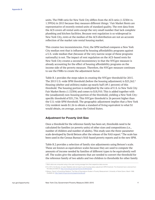units. The FMR ratio for New York City differs from the ACS ratio (1.52304 vs. 1.39924) in 2015 because they measure different things.7 Fair Market Rents are representative of recently rented units of standard quality. The rent data from the ACS covers all rental units except the very small number that lack complete plumbing and kitchen facilities. Because rent regulation is so widespread in New York City, rents at the median of the ACS distribution are not an accurate reflection of the market rate rental housing market.

This creates two inconsistencies. First, the SPM method compares a New York City median rent that is influenced by housing affordability programs against a U.S.-wide median that (because of the very narrow scope of these programs nationally) is not. The impact of rent regulation on the ACS-based rents for New York City creates a second inconsistency in that the NYCgov measure is already accounting for the effect of housing affordability programs on the income side of the poverty measure. Therefore, the NYCgov measure continues to use the FMRs to create the adjustment factor.

Table B.1 provides the steps taken in creating the NYCgov threshold for 2015. The 2015 U.S.-wide SPM threshold (before the housing adjustment) is \$25,262.<sup>8</sup> Housing (shelter and utilities) makes up nearly half (49.1 percent) of this threshold. The housing portion is multiplied by the ratio of U.S. to New York City Fair Market Rents (1.52304) and comes to \$18,910. This is added together with the (unadjusted) non-housing portion of the threshold, yielding a New York Cityspecific threshold of \$31,756. This NYCgov threshold is 26 percent higher than the U.S.-wide SPM threshold. The geographic adjustment implies that a New York City resident needs \$1.26 to obtain a standard of living equivalent to what \$1 would obtain, on average, across the United States.

#### Adjustment for Poverty Unit Size

Once a threshold for the reference family has been set, thresholds need to be calculated for families (or poverty units) of other sizes and compositions (i.e., number of children and number of adults). This study uses the three-parameter scale developed by David Betson after the release of the NAS report.<sup>9</sup> The scale has been used in the Census Bureau's NAS-based poverty reports and in the new SPM.

Table B.2 provides a selection of family size adjustments using Betson's scale. These are known as equivalence scales because they are used to compute the amounts of income needed by families of different types to be equivalently well off. The scales give the adjustments that are needed to convert the threshold for the reference family of two adults and two children to thresholds for other family

<sup>7</sup> Both ratios are computed using a five-year moving average from their respective data sources.

<sup>8</sup> For 2013, the Bureau of Labor Statistics did not report a pre-housing status adjustment SPM threshold. The threshold here is derived from the data provided at:<http://www.bls.gov/pir/spmhome.htm#threshold>

<sup>9</sup> Betson, David. Is Everything Relative? The Role of Equivalence Scales in Poverty Measurement. University of Notre Dame. March 1996. Available at:<http://aspe.hhs.gov/poverty/papers/escale.pdf>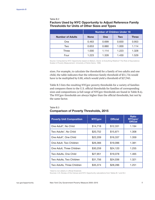#### Table B.2

## Factors Used by NYC Opportunity to Adjust Reference Family Thresholds for Units of Other Sizes and Types

|                         | <b>Number of Children Under 18</b> |            |            |              |  |  |
|-------------------------|------------------------------------|------------|------------|--------------|--|--|
| <b>Number of Adults</b> | <b>None</b>                        | <b>One</b> | <b>Two</b> | <b>Three</b> |  |  |
| One                     | 0.463                              | 0.699      | 0.830      | 0.953        |  |  |
| Two                     | 0.653                              | 0.880      | 1.000      | 1.114        |  |  |
| Three                   | 1.000                              | 1.114      | 1.223      | 1.328        |  |  |
| Four                    | 1.223                              | 1.328      | 1.430      | 1.529        |  |  |

Source: Computed by NYC Opportunity based on Betson, David. Is Everything Relative? The Role of Equivalence Scales in Poverty Measurement. University of Notre Dame. 1996.

sizes. For example, to calculate the threshold for a family of two adults and one child, the table indicates that the reference family threshold of \$31,756 would have to be multiplied by 0.88, which would yield a threshold of \$27,945.

Table B.3 lists the resulting NYCgov poverty thresholds for a variety of families and compares them to the U.S. official thresholds for families of corresponding sizes and compositions (a full range of NYCgov thresholds are found in Table B.6). The NYCgov thresholds are always higher than the official thresholds, but not by the same factor.

#### Table B.3 Comparison of Poverty Thresholds, 2015

| <b>Poverty Unit Composition</b>    | <b>NYCgov</b> | <b>Official</b> | <b>Ratio</b><br>NYCgov/<br><b>Official</b> |
|------------------------------------|---------------|-----------------|--------------------------------------------|
| One Adult*, No Child               | \$14,718      | \$12,331        | 1.194                                      |
| Two Adults*, No Child              | \$20,752      | \$15,871        | 1.308                                      |
| One Adult <sup>*</sup> , One Child | \$22,209      | \$16,337        | 1.359                                      |
| One Adult, Two Children            | \$26,366      | \$19,096        | 1.381                                      |
| One Adult, Three Children          | \$30,259      | \$24,120        | 1.255                                      |
| Two Adults, One Child              | \$27,951      | \$19,078        | 1.465                                      |
| Two Adults, Two Children           | \$31,756      | \$24,036        | 1.321                                      |
| Two Adults, Three Children         | \$35,374      | \$28,286        | 1.251                                      |

\*Adult is non-elderly in official threshold.

Sources: U.S. Bureau of the Census and NYC Opportunity calculations from Tables B.1 and B.2.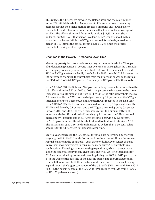This reflects the differences between the Betson scale and the scale implicit in the U.S. official thresholds. An important difference between the scaling methods (is that the official method creates a different, and lower, poverty threshold for individuals and some families with a householder who is age 65 or older. The official threshold for a single adult is \$12,331 if he or she is under 65, but \$11,367 if that person is older. The NYCgov threshold makes no distinction by age. While the NYCgov threshold for a single, non-elderly person is 1.194 times the official threshold, it is 1.295 times the official threshold for a single, elderly person.

#### Changes in the Poverty Thresholds Over Time

Measuring poverty is an exercise in comparing incomes to thresholds. Thus, part of understanding changes in poverty rates over time is tracking how the thresholds are changing from one year to the next. Table B.4 provides the official U.S.-wide, SPM, and NYCgov reference family thresholds for 2005 through 2015. It also reports the percentage change in the thresholds from the prior year, as well as the ratio of the SPM to U.S. official, NYCgov to U.S. official, and NYCgov to SPM thresholds.

From 2005 to 2010, the SPM and NYCgov thresholds grew at a faster rate than the U.S. official threshold. From 2010 to 2011, the percentage increases in the three thresholds are quite similar. But from 2011 to 2012, the official threshold rose by 2.1 percent while the SPM threshold edged down by 0.2 percent and the NYCgov threshold grew by 0.3 percent. A similar pattern was repeated in the next year. From 2012 to 2013, the U.S. official threshold increased by 1.5 percent while the SPM inched down by 0.1 percent and the NYCgov threshold grew by 0.4 percent. Between 2013 and 2014, the three thresholds return to a similar pattern of increase with the official threshold growing by 1.6 percent, the SPM threshold increasing by 1 percent, and the NYCgov threshold growing by 1.4 percent. In 2015, growth in the official threshold slowed to its slowest rate since 2010. The SPM and NYCgov thresholds each increased by less than 1 percent. What accounts for the differences in thresholds over time?

Year-to-year changes in the U.S. official threshold are determined by the yearto-year growth in the U.S.-wide Consumer Price Index for All Urban Consumers. Annual changes in the SPM and NYCgov thresholds, however, reflect changes in five-year moving averages in consumer expenditures. The threshold is a combination of housing and non-housing expenditure, which may not move along the same trajectory in any given year. The two NAS-style thresholds for 2012 are determined by household spending during the 2008 to 2012 period, that is, in the wake of the bursting of the housing bubble and the Great Recessionrelated fall in income. Both these factors would be expected to reduce housing expenditures – the largest component of the U.S.-wide SPM threshold. From 2011 to 2012, the housing share of the U.S.-wide SPM declined by \$170, from \$12,325 to \$12,155 (table not shown).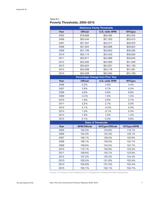#### Table B.4 Poverty Thresholds, 2005–2015

| <b>Reference Family Thresholds</b> |                     |                                          |               |  |  |  |  |  |
|------------------------------------|---------------------|------------------------------------------|---------------|--|--|--|--|--|
| Year                               | <b>Official</b>     | <b>U.S.-wide SPM</b>                     | <b>NYCgov</b> |  |  |  |  |  |
| 2005                               | \$19,806            | \$20,492                                 | \$24,532      |  |  |  |  |  |
| 2006                               | \$20,444            | \$21,320                                 | \$25,615      |  |  |  |  |  |
| 2007                               | \$21,027            | \$22,317                                 | \$26,979      |  |  |  |  |  |
| 2008                               | \$21,834            | \$23,608                                 | \$28,822      |  |  |  |  |  |
| 2009                               | \$21,756            | \$23,854                                 | \$29,265      |  |  |  |  |  |
| 2010                               | \$22,113            | \$24,343                                 | \$30,055      |  |  |  |  |  |
| 2011                               | \$22,811            | \$24,999                                 | \$30,945      |  |  |  |  |  |
| 2012                               | \$23,283            | \$24,959                                 | \$31,039      |  |  |  |  |  |
| 2013                               | \$23,624            | \$24,931                                 | \$31,156      |  |  |  |  |  |
| 2014                               | \$24,008            | \$25,178                                 | \$31,581      |  |  |  |  |  |
| 2015                               | \$24,036            | \$25,262                                 | \$31,756      |  |  |  |  |  |
|                                    |                     | <b>Percentage Change from Prior Year</b> |               |  |  |  |  |  |
| Year                               | <b>Official</b>     | <b>U.S.-wide SPM</b>                     | <b>NYCgov</b> |  |  |  |  |  |
| 2006                               | 3.2%                | 4.0%                                     | 4.4%          |  |  |  |  |  |
| 2007                               | 2.9%                | 4.7%                                     | 5.3%          |  |  |  |  |  |
| 2008                               | 3.8%                | 5.8%                                     | 6.8%          |  |  |  |  |  |
| 2009                               | $-0.4%$             | 1.0%                                     | 1.5%          |  |  |  |  |  |
| 2010                               | 1.6%                | 2.0%                                     | 2.7%          |  |  |  |  |  |
| 2011                               | 3.2%                | 2.7%                                     | 3.0%          |  |  |  |  |  |
| 2012                               | 2.1%                | $-0.2%$                                  | 0.3%          |  |  |  |  |  |
| 2013                               | 1.5%                | $-0.1%$                                  | 0.4%          |  |  |  |  |  |
| 2014                               | 1.6%                | 1.0%                                     | 1.4%          |  |  |  |  |  |
| 2015                               | 0.1%                | 0.3%                                     | 0.6%          |  |  |  |  |  |
|                                    |                     | <b>Ratio of Thresholds</b>               |               |  |  |  |  |  |
| Year                               | <b>SPM/Official</b> | NYCgov/Official                          | NYCgov/SPM    |  |  |  |  |  |
| 2005                               | 103.5%              | 123.9%                                   | 119.7%        |  |  |  |  |  |
| 2006                               | 104.3%              | 125.3%                                   | 120.1%        |  |  |  |  |  |
| 2007                               | 106.1%              | 128.3%                                   | 120.9%        |  |  |  |  |  |
| 2008                               | 108.1%              | 132.0%                                   | 122.1%        |  |  |  |  |  |
| 2009                               | 109.6%              | 134.5%                                   | 122.7%        |  |  |  |  |  |
| 2010                               | 110.1%              | 135.9%                                   | 123.5%        |  |  |  |  |  |
| 2011                               | 109.6%              | 135.7%                                   | 123.8%        |  |  |  |  |  |
| 2012                               | 107.2%              | 133.3%                                   | 124.4%        |  |  |  |  |  |
| 2013                               | 105.5%              | 131.9%                                   | 125.0%        |  |  |  |  |  |
| 2014                               | 104.9%              | 131.5%                                   | 125.4%        |  |  |  |  |  |
| 2015                               | 105.1%              | 132.1%                                   | 125.7%        |  |  |  |  |  |

Sources: U.S. Bureau of Labor Statistics and U.S. Department of Housing and Urban Development.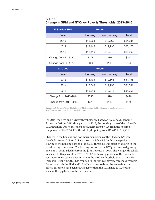#### Table B.5 Change in SPM and NYCgov Poverty Thresholds, 2013–2015

| <b>U.S.-wide SPM</b>  | <b>Portion</b>    |                    |              |
|-----------------------|-------------------|--------------------|--------------|
| Year                  | <b>Housing</b>    | <b>Non-Housing</b> | <b>Total</b> |
| 2013                  | \$12,268          | \$12,663           | \$24,931     |
| 2014                  | \$12,445          | \$12,733           | \$25,178     |
| 2015                  | \$12,416          | \$12,846           | \$25,262     |
| Change from 2013-2014 | \$177             | \$70               | \$247        |
| Change from 2014-2015 | \$113<br>$-$ \$29 |                    | \$84         |
|                       |                   |                    |              |
| <b>NYCgov</b>         |                   | <b>Portion</b>     |              |
| Year                  | <b>Housing</b>    | <b>Non-Housing</b> | <b>Total</b> |
| 2013                  | \$18,493          | \$12,663           | \$31,156     |
| 2014                  | \$18,848          | \$12,733           | \$31,581     |
| 2015                  | \$18,910          | \$12,846           | \$31,756     |
| Change from 2013-2014 | \$356             | \$70               | \$426        |

Sources: U.S. Bureau of Labor Statistics and U.S. Department of Housing and Urban Development. Note: Totals are computed from unrounded numbers.

For 2015, the SPM and NYCgov thresholds are based on household spending during the 2011 to 2015 time period. In 2015, the housing share of the U.S.-wide SPM threshold was nearly unchanged, decreasing by \$29 from the housing component of the 2014 SPM threshold, dropping from \$12,445 to \$12,416.

Changes in the housing and non-housing portions of the SPM and NYCgov thresholds from 2013 to 2015 are shown in Table B.5. In this time period, a slowing of the housing portion of the SPM threshold was offset by growth in the non-housing component. The housing portion of the NYCgov threshold grew by only \$61 in 2015, a decline from the \$356 increase in 2014. The NYCgov threshold increased by 0.6 percent or \$175 in 2014. The housing portion of the threshold continues to increase at a faster rate in the NYCgov threshold than in the SPM threshold. Over time, this has resulted in the NYCgov poverty threshold growing faster than both the SPM and U.S. official thresholds. At the same time, the official threshold has been growing faster than the SPM since 2010, closing some of the gap between the two measures.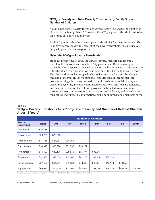#### NYCgov Poverty and Near Poverty Thresholds by Family Size and Number of Children

As explained above, poverty thresholds vary by family size and by the number of children in the family. Table B.6 provides the NYCgov poverty thresholds adjusted for a range of family sizes and types.

Table B.7 presents the NYCgov near poverty thresholds for the same groups. The near poverty threshold is 150 percent of the poverty threshold. This includes all people in poverty and near-poverty.

#### Using the NYCgov Poverty Thresholds

Since our first release in 2008, the NYCgov poverty measure has become a useful tool both inside and outside of City government. One common practice is to use the NYCgov poverty threshold as a more realistic standard of need than the U.S. official poverty threshold. We caution against this for the following reason: The NYCgov threshold is designed to be used as a standard against the NYCgov measure of income. This is the sum of all resources in our income measure: post-tax earnings (including tax credits), public assistance, social security and disability payments, unemployment income, nutritional and housing assistance, and heating assistance. The following costs are subtracted from this summed income: work-related expenses (transportation and childcare) and out-of-pocket medical expenditures. This information should be summed for all members of the

Table B.6

### NYCgov Poverty Thresholds for 2015 by Size of Family and Number of Related Children Under 18 Years]

|                               | <b>Number of Children</b> |            |            |              |             |             |            |              |
|-------------------------------|---------------------------|------------|------------|--------------|-------------|-------------|------------|--------------|
| Size of<br><b>Family Unit</b> | <b>None</b>               | <b>One</b> | <b>Two</b> | <b>Three</b> | <b>Four</b> | <b>Five</b> | <b>Six</b> | <b>Seven</b> |
| One person                    | \$14,718                  |            |            |              |             |             |            |              |
| Two persons                   | \$20,752                  | \$22,209   |            |              |             |             |            |              |
| Three persons                 | \$31,756                  | \$27,951   | \$26,366   |              |             |             |            |              |
| Four persons                  | \$38,840                  | \$35,374   | \$31,756   | \$30,259     |             |             |            |              |
| Five persons                  | \$45,407                  | \$42,178   | \$38,840   | \$35,374     | \$33,947    |             |            |              |
| Six persons                   | \$51,588                  | \$48,539   | \$45,407   | \$42,178     | \$38,840    | \$37,470    |            |              |
| Seven persons                 | \$57,466                  | \$54,561   | \$51,588   | \$48,539     | \$45,407    | \$42,178    | \$40,857   |              |
| Eight persons                 | \$63,096                  | \$60,309   | \$57,466   | \$54,561     | \$51,588    | \$48,539    | \$45,407   | \$44,128     |

Sources: U.S. Bureau of the Census and NYC Opportunity calculations from Tables B.1 and B.2.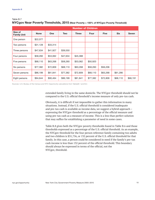#### Table B.7

# NYCgov Near Poverty Thresholds, 2015 (Near Poverty = 150% of NYCgov Poverty Threshold)

|                               | <b>Number of Children</b> |            |          |          |          |             |            |              |
|-------------------------------|---------------------------|------------|----------|----------|----------|-------------|------------|--------------|
| Size of<br><b>Family Unit</b> | <b>None</b>               | <b>One</b> | Two      | Three    | Four     | <b>Five</b> | <b>Six</b> | <b>Seven</b> |
| One person                    | \$22,077                  |            |          |          |          |             |            |              |
| Two persons                   | \$31,128                  | \$33,314   |          |          |          |             |            |              |
| Three persons                 | \$47,634                  | \$41,927   | \$39,550 |          |          |             |            |              |
| Four persons                  | \$58,260                  | \$53,062   | \$47,634 | \$45,388 |          |             |            |              |
| Five persons                  | \$68,110                  | \$63,268   | \$58,260 | \$53,062 | \$50,920 |             |            |              |
| Six persons                   | \$77,382                  | \$72,809   | \$68,110 | \$63,268 | \$58,260 | \$56,206    |            |              |
| Seven persons                 | \$86,199                  | \$81,841   | \$77,382 | \$72,809 | \$68,110 | \$63,268    | \$61,286   |              |
| Eight persons                 | \$94,644                  | \$90,464   | \$86,199 | \$81,841 | \$77,382 | \$72,809    | \$68,110   | \$66,191     |

Sources: U.S. Bureau of the Census and NYC Opportunity calculations from TablesB.1 and B.2.

extended family living in the same domicile. The NYCgov threshold should not be compared to the U.S. official threshold's income measure of only pre-tax cash.

Obviously, it is difficult if not impossible to gather this information in many situations. Instead, if the U.S. official threshold is considered inadequate and pre-tax cash is available as income data, we suggest a hybrid approach – expressing the NYCgov threshold as a percentage of the official measure and using pre-tax cash as a measure of income. This is a less than perfect solution that may suffice for establishing a parameter of need in some cases.

Table B.8 gives both the NYCgov poverty thresholds found in Table B.6 and those thresholds expressed as a percentage of the U.S. official threshold. As an example, the NYCgov threshold for the four person reference family containing two adults and two children is \$31,756, or 132 percent of the U.S. official threshold for that family. In this case, a person could be considered in need if the family's pre-tax cash income is less than 132 percent of the official threshold. This boundary should always be expressed in terms of the official, not the NYCgov, threshold.